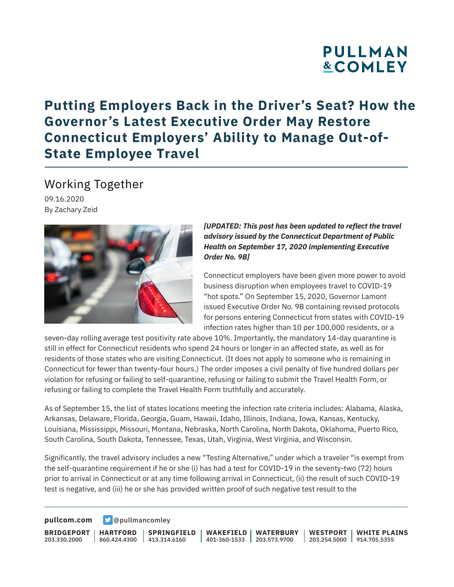# **PULLMAN &COMLEY**

### **Putting Employers Back in the Driver's Seat? How the Governor's Latest Executive Order May Restore Connecticut Employers' Ability to Manage Out-of-State Employee Travel**

Working Together

09.16.2020 By Zachary Zeid



*[UPDATED: This post has been updated to reflect the travel advisory issued by the Connecticut Department of Public Health on September 17, 2020 implementing Executive Order No. 9B]*

Connecticut employers have been given more power to avoid business disruption when employees travel to COVID-19 "hot spots." On September 15, 2020, Governor Lamont issued Executive Order No. 9B containing revised protocols for persons entering Connecticut from states with COVID-19 infection rates higher than 10 per 100,000 residents, or a

seven-day rolling average test positivity rate above 10%. Importantly, the mandatory 14-day quarantine is still in effect for Connecticut residents who spend 24 hours or longer in an affected state, as well as for residents of those states who are visiting Connecticut. (It does not apply to someone who is remaining in Connecticut for fewer than twenty-four hours.) The order imposes a civil penalty of five hundred dollars per violation for refusing or failing to self-quarantine, refusing or failing to submit the Travel Health Form, or refusing or failing to complete the Travel Health Form truthfully and accurately.

As of September 15, the list of states locations meeting the infection rate criteria includes: Alabama, Alaska, Arkansas, Delaware, Florida, Georgia, Guam, Hawaii, Idaho, Illinois, Indiana, Iowa, Kansas, Kentucky, Louisiana, Mississippi, Missouri, Montana, Nebraska, North Carolina, North Dakota, Oklahoma, Puerto Rico, South Carolina, South Dakota, Tennessee, Texas, Utah, Virginia, West Virginia, and Wisconsin.

Significantly, the travel advisory includes a new "Testing Alternative," under which a traveler "is exempt from the self-quarantine requirement if he or she (i) has had a test for COVID-19 in the seventy-two (72) hours prior to arrival in Connecticut or at any time following arrival in Connecticut, (ii) the result of such COVID-19 test is negative, and (iii) he or she has provided written proof of such negative test result to the

**[pullcom.com](https://www.pullcom.com) g** [@pullmancomley](https://twitter.com/PullmanComley)

**BRIDGEPORT** 203.330.2000

**HARTFORD**

860.424.4300 413.314.6160 **SPRINGFIELD** **WAKEFIELD WATERBURY** 401-360-1533 203.573.9700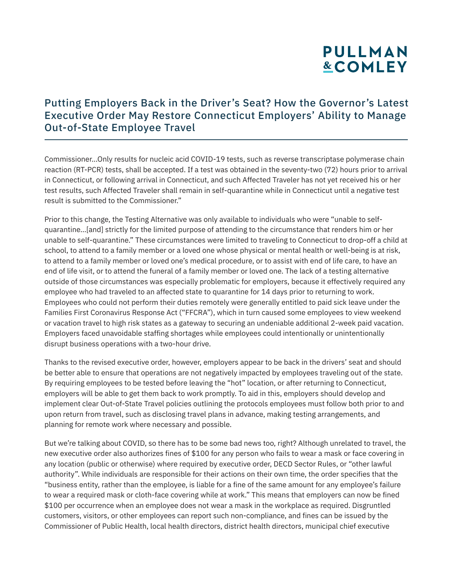# **PULLMAN &COMLEY**

#### Putting Employers Back in the Driver's Seat? How the Governor's Latest Executive Order May Restore Connecticut Employers' Ability to Manage Out-of-State Employee Travel

Commissioner...Only results for nucleic acid COVID-19 tests, such as reverse transcriptase polymerase chain reaction (RT-PCR) tests, shall be accepted. If a test was obtained in the seventy-two (72) hours prior to arrival in Connecticut, or following arrival in Connecticut, and such Affected Traveler has not yet received his or her test results, such Affected Traveler shall remain in self-quarantine while in Connecticut until a negative test result is submitted to the Commissioner."

Prior to this change, the Testing Alternative was only available to individuals who were "unable to selfquarantine…[and] strictly for the limited purpose of attending to the circumstance that renders him or her unable to self-quarantine." These circumstances were limited to traveling to Connecticut to drop-off a child at school, to attend to a family member or a loved one whose physical or mental health or well-being is at risk, to attend to a family member or loved one's medical procedure, or to assist with end of life care, to have an end of life visit, or to attend the funeral of a family member or loved one. The lack of a testing alternative outside of those circumstances was especially problematic for employers, because it effectively required any employee who had traveled to an affected state to quarantine for 14 days prior to returning to work. Employees who could not perform their duties remotely were generally entitled to paid sick leave under the Families First Coronavirus Response Act ("FFCRA"), which in turn caused some employees to view weekend or vacation travel to high risk states as a gateway to securing an undeniable additional 2-week paid vacation. Employers faced unavoidable staffing shortages while employees could intentionally or unintentionally disrupt business operations with a two-hour drive.

Thanks to the revised executive order, however, employers appear to be back in the drivers' seat and should be better able to ensure that operations are not negatively impacted by employees traveling out of the state. By requiring employees to be tested before leaving the "hot" location, or after returning to Connecticut, employers will be able to get them back to work promptly. To aid in this, employers should develop and implement clear Out-of-State Travel policies outlining the protocols employees must follow both prior to and upon return from travel, such as disclosing travel plans in advance, making testing arrangements, and planning for remote work where necessary and possible.

But we're talking about COVID, so there has to be some bad news too, right? Although unrelated to travel, the new executive order also authorizes fines of \$100 for any person who fails to wear a mask or face covering in any location (public or otherwise) where required by executive order, DECD Sector Rules, or "other lawful authority". While individuals are responsible for their actions on their own time, the order specifies that the "business entity, rather than the employee, is liable for a fine of the same amount for any employee's failure to wear a required mask or cloth-face covering while at work." This means that employers can now be fined \$100 per occurrence when an employee does not wear a mask in the workplace as required. Disgruntled customers, visitors, or other employees can report such non-compliance, and fines can be issued by the Commissioner of Public Health, local health directors, district health directors, municipal chief executive